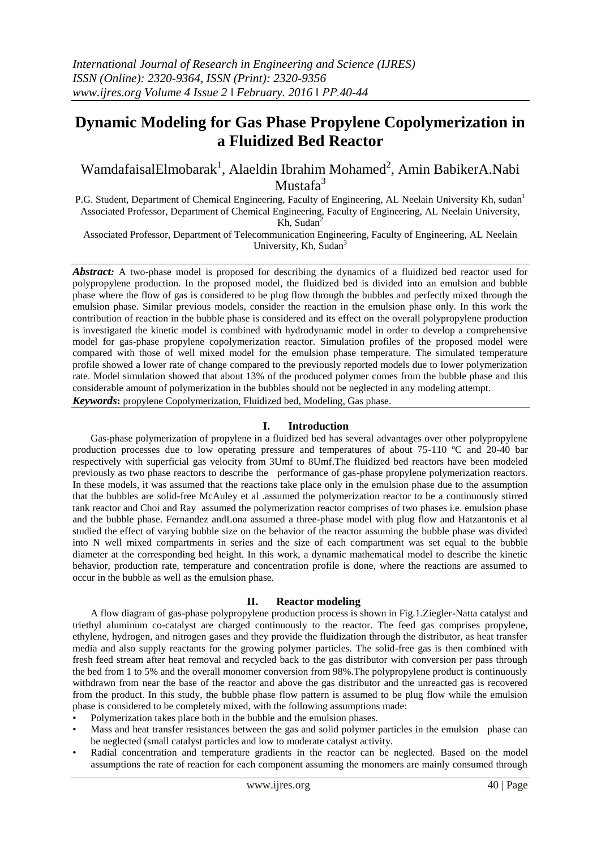# **Dynamic Modeling for Gas Phase Propylene Copolymerization in a Fluidized Bed Reactor**

WamdafaisalElmobarak<sup>1</sup>, Alaeldin Ibrahim Mohamed<sup>2</sup>, Amin BabikerA.Nabi Mustaf $a^3$ 

P.G. Student, Department of Chemical Engineering, Faculty of Engineering, AL Neelain University Kh, sudan<sup>1</sup> Associated Professor, Department of Chemical Engineering, Faculty of Engineering, AL Neelain University, Kh, Sudan<sup>2</sup>

Associated Professor, Department of Telecommunication Engineering, Faculty of Engineering, AL Neelain University, Kh, Sudan<sup>3</sup>

*Abstract:* A two-phase model is proposed for describing the dynamics of a fluidized bed reactor used for polypropylene production. In the proposed model, the fluidized bed is divided into an emulsion and bubble phase where the flow of gas is considered to be plug flow through the bubbles and perfectly mixed through the emulsion phase. Similar previous models, consider the reaction in the emulsion phase only. In this work the contribution of reaction in the bubble phase is considered and its effect on the overall polypropylene production is investigated the kinetic model is combined with hydrodynamic model in order to develop a comprehensive model for gas-phase propylene copolymerization reactor. Simulation profiles of the proposed model were compared with those of well mixed model for the emulsion phase temperature. The simulated temperature profile showed a lower rate of change compared to the previously reported models due to lower polymerization rate. Model simulation showed that about 13% of the produced polymer comes from the bubble phase and this considerable amount of polymerization in the bubbles should not be neglected in any modeling attempt. *Keywords***:** propylene Copolymerization, Fluidized bed, Modeling, Gas phase.

#### **I. Introduction**

Gas-phase polymerization of propylene in a fluidized bed has several advantages over other polypropylene production processes due to low operating pressure and temperatures of about 75-110 ºC and 20-40 bar respectively with superficial gas velocity from 3Umf to 8Umf.The fluidized bed reactors have been modeled previously as two phase reactors to describe the performance of gas-phase propylene polymerization reactors. In these models, it was assumed that the reactions take place only in the emulsion phase due to the assumption that the bubbles are solid-free McAuley et al .assumed the polymerization reactor to be a continuously stirred tank reactor and Choi and Ray assumed the polymerization reactor comprises of two phases i.e. emulsion phase and the bubble phase. Fernandez andLona assumed a three-phase model with plug flow and Hatzantonis et al studied the effect of varying bubble size on the behavior of the reactor assuming the bubble phase was divided into N well mixed compartments in series and the size of each compartment was set equal to the bubble diameter at the corresponding bed height. In this work, a dynamic mathematical model to describe the kinetic behavior, production rate, temperature and concentration profile is done, where the reactions are assumed to occur in the bubble as well as the emulsion phase.

#### **II. Reactor modeling**

A flow diagram of gas-phase polypropylene production process is shown in Fig.1.Ziegler-Natta catalyst and triethyl aluminum co-catalyst are charged continuously to the reactor. The feed gas comprises propylene, ethylene, hydrogen, and nitrogen gases and they provide the fluidization through the distributor, as heat transfer media and also supply reactants for the growing polymer particles. The solid-free gas is then combined with fresh feed stream after heat removal and recycled back to the gas distributor with conversion per pass through the bed from 1 to 5% and the overall monomer conversion from 98%.The polypropylene product is continuously withdrawn from near the base of the reactor and above the gas distributor and the unreacted gas is recovered from the product. In this study, the bubble phase flow pattern is assumed to be plug flow while the emulsion phase is considered to be completely mixed, with the following assumptions made:

• Polymerization takes place both in the bubble and the emulsion phases.

- Mass and heat transfer resistances between the gas and solid polymer particles in the emulsion phase can be neglected (small catalyst particles and low to moderate catalyst activity.
- Radial concentration and temperature gradients in the reactor can be neglected. Based on the model assumptions the rate of reaction for each component assuming the monomers are mainly consumed through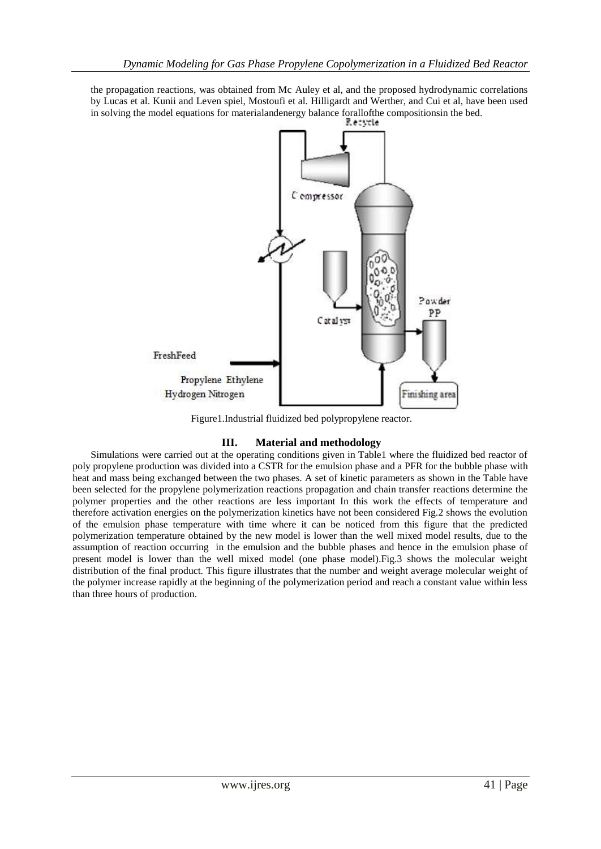the propagation reactions, was obtained from Mc Auley et al, and the proposed hydrodynamic correlations by Lucas et al. Kunii and Leven spiel, Mostoufi et al. Hilligardt and Werther, and Cui et al, have been used in solving the model equations for materialandenergy balance forallofthe compositionsin the bed.



Figure1.Industrial fluidized bed polypropylene reactor.

## **III. Material and methodology**

Simulations were carried out at the operating conditions given in Table1 where the fluidized bed reactor of poly propylene production was divided into a CSTR for the emulsion phase and a PFR for the bubble phase with heat and mass being exchanged between the two phases. A set of kinetic parameters as shown in the Table have been selected for the propylene polymerization reactions propagation and chain transfer reactions determine the polymer properties and the other reactions are less important In this work the effects of temperature and therefore activation energies on the polymerization kinetics have not been considered Fig.2 shows the evolution of the emulsion phase temperature with time where it can be noticed from this figure that the predicted polymerization temperature obtained by the new model is lower than the well mixed model results, due to the assumption of reaction occurring in the emulsion and the bubble phases and hence in the emulsion phase of present model is lower than the well mixed model (one phase model).Fig.3 shows the molecular weight distribution of the final product. This figure illustrates that the number and weight average molecular weight of the polymer increase rapidly at the beginning of the polymerization period and reach a constant value within less than three hours of production.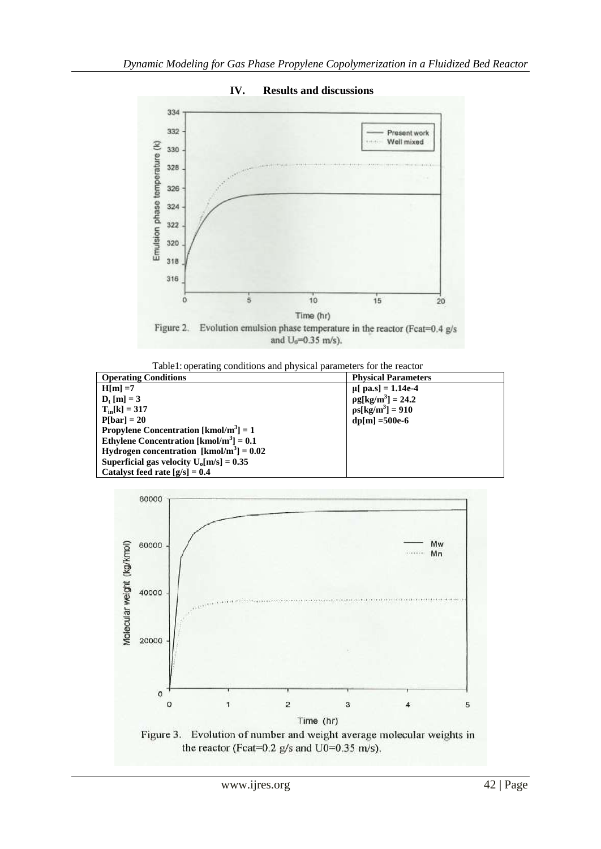

**IV. Results and discussions**



| <b>Operating Conditions</b>                               | <b>Physical Parameters</b> |
|-----------------------------------------------------------|----------------------------|
| $H[m] = 7$                                                | $\mu$ [ pa.s] = 1.14e-4    |
| $D_{t}$ [m] = 3                                           | $pg[kg/m^3] = 24.2$        |
| $T_{in}[k] = 317$                                         | $ps[kg/m^3] = 910$         |
| $P[bar] = 20$                                             | $dp[m] = 500e-6$           |
| <b>Propylene Concentration</b> [kmol/m <sup>3</sup> ] = 1 |                            |
| Ethylene Concentration [kmol/m <sup>3</sup> ] = $0.1$     |                            |
| Hydrogen concentration $[kmol/m^3] = 0.02$                |                            |
| Superficial gas velocity $U_0[m/s] = 0.35$                |                            |
| Catalyst feed rate $[g/s] = 0.4$                          |                            |

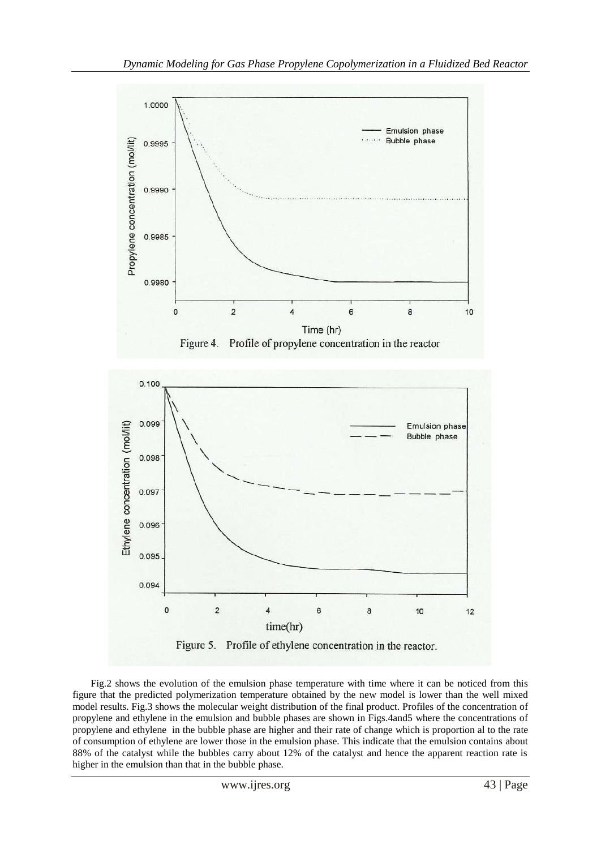

Fig.2 shows the evolution of the emulsion phase temperature with time where it can be noticed from this figure that the predicted polymerization temperature obtained by the new model is lower than the well mixed model results. Fig.3 shows the molecular weight distribution of the final product. Profiles of the concentration of propylene and ethylene in the emulsion and bubble phases are shown in Figs.4and5 where the concentrations of propylene and ethylene in the bubble phase are higher and their rate of change which is proportion al to the rate of consumption of ethylene are lower those in the emulsion phase. This indicate that the emulsion contains about 88% of the catalyst while the bubbles carry about 12% of the catalyst and hence the apparent reaction rate is higher in the emulsion than that in the bubble phase.